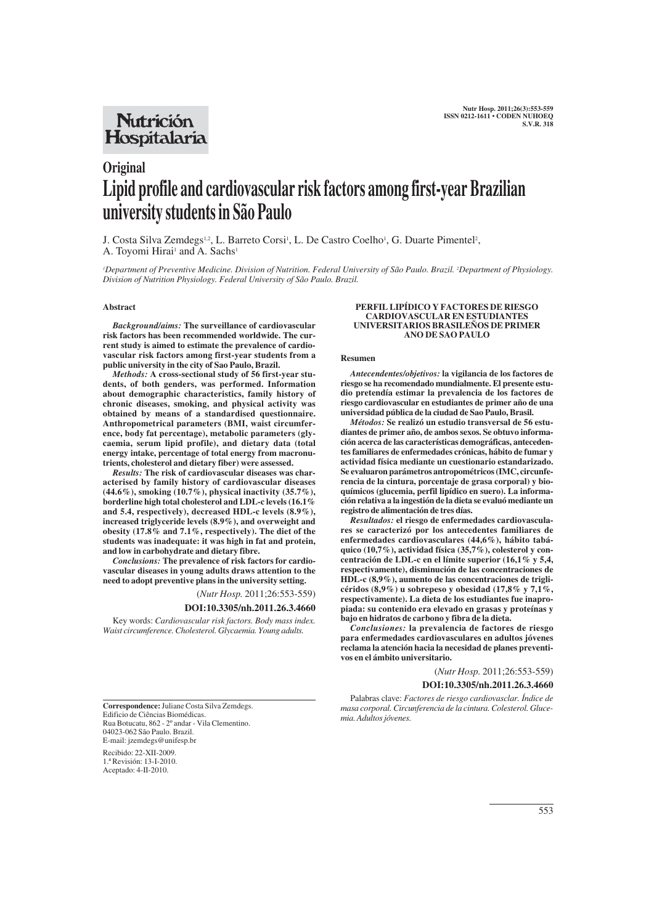## **Nutrición** Hospitalaria

# **Original Lipid profile and cardiovascular risk factors among first-year Brazilian university students in São Paulo**

J. Costa Silva Zemdegs<sup>1,2</sup>, L. Barreto Corsi<sup>1</sup>, L. De Castro Coelho<sup>1</sup>, G. Duarte Pimentel<sup>2</sup>, A. Toyomi Hirai<sup>1</sup> and A. Sachs<sup>1</sup>

*1 Department of Preventive Medicine. Division of Nutrition. Federal University of São Paulo. Brazil. 2 Department of Physiology. Division of Nutrition Physiology. Federal University of São Paulo. Brazil.*

#### **Abstract**

*Background/aims:* **The surveillance of cardiovascular risk factors has been recommended worldwide. The current study is aimed to estimate the prevalence of cardiovascular risk factors among first-year students from a public university in the city of Sao Paulo, Brazil.** 

*Methods:* **A cross-sectional study of 56 first-year students, of both genders, was performed. Information about demographic characteristics, family history of chronic diseases, smoking, and physical activity was obtained by means of a standardised questionnaire. Anthropometrical parameters (BMI, waist circumference, body fat percentage), metabolic parameters (glycaemia, serum lipid profile), and dietary data (total energy intake, percentage of total energy from macronutrients, cholesterol and dietary fiber) were assessed.**

*Results:* **The risk of cardiovascular diseases was characterised by family history of cardiovascular diseases (44.6%), smoking (10.7%), physical inactivity (35.7%), borderline high total cholesterol and LDL-c levels (16.1% and 5.4, respectively), decreased HDL-c levels (8.9%), increased triglyceride levels (8.9%), and overweight and obesity (17.8% and 7.1%, respectively). The diet of the students was inadequate: it was high in fat and protein, and low in carbohydrate and dietary fibre.** 

*Conclusions:* **The prevalence of risk factors for cardiovascular diseases in young adults draws attention to the need to adopt preventive plans in the university setting.**

(*Nutr Hosp.* 2011;26:553-559)

## **DOI:10.3305/nh.2011.26.3.4660**

Key words: *Cardiovascular risk factors. Body mass index. Waist circumference. Cholesterol. Glycaemia. Young adults.*

#### **PERFIL LIPÍDICO Y FACTORES DE RIESGO CARDIOVASCULAR EN ESTUDIANTES UNIVERSITARIOS BRASILEÑOS DE PRIMER ANO DE SAO PAULO**

#### **Resumen**

*Antecendentes/objetivos:* **la vigilancia de los factores de riesgo se ha recomendado mundialmente. El presente estudio pretendía estimar la prevalencia de los factores de riesgo cardiovascular en estudiantes de primer año de una universidad pública de la ciudad de Sao Paulo, Brasil.** 

*Métodos:* **Se realizó un estudio transversal de 56 estudiantes de primer año, de ambos sexos. Se obtuvo información acerca de las características demográficas, antecedentes familiares de enfermedades crónicas, hábito de fumar y actividad física mediante un cuestionario estandarizado. Se evaluaron parámetros antropométricos (IMC, circunferencia de la cintura, porcentaje de grasa corporal) y bioquímicos (glucemia, perfil lipídico en suero). La información relativa a la ingestión de la dieta se evaluó mediante un registro de alimentación de tres días.** 

*Resultados:* **el riesgo de enfermedades cardiovasculares se caracterizó por los antecedentes familiares de enfermedades cardiovasculares (44,6%), hábito tabáquico (10,7%), actividad física (35,7%), colesterol y concentración de LDL-c en el límite superior (16,1% y 5,4, respectivamente), disminución de las concentraciones de HDL-c (8,9%), aumento de las concentraciones de triglicéridos (8,9%) u sobrepeso y obesidad (17,8% y 7,1%, respectivamente). La dieta de los estudiantes fue inapropiada: su contenido era elevado en grasas y proteínas y bajo en hidratos de carbono y fibra de la dieta.** 

*Conclusiones:* **la prevalencia de factores de riesgo para enfermedades cardiovasculares en adultos jóvenes reclama la atención hacia la necesidad de planes preventivos en el ámbito universitario.** 

(*Nutr Hosp.* 2011;26:553-559)

**DOI:10.3305/nh.2011.26.3.4660**

Palabras clave: *Factores de riesgo cardiovasclar. Índice de masa corporal. Circunferencia de la cintura. Colesterol. Glucemia. Adultos jóvenes.*

**Correspondence:** Juliane Costa Silva Zemdegs. Edificio de Ciências Biomédicas. Rua Botucatu, 862 - 2º andar - Vila Clementino. 04023-062 São Paulo. Brazil. E-mail: jzemdegs@unifesp.br

Recibido: 22-XII-2009. 1.ª Revisión: 13-I-2010. Aceptado: 4-II-2010.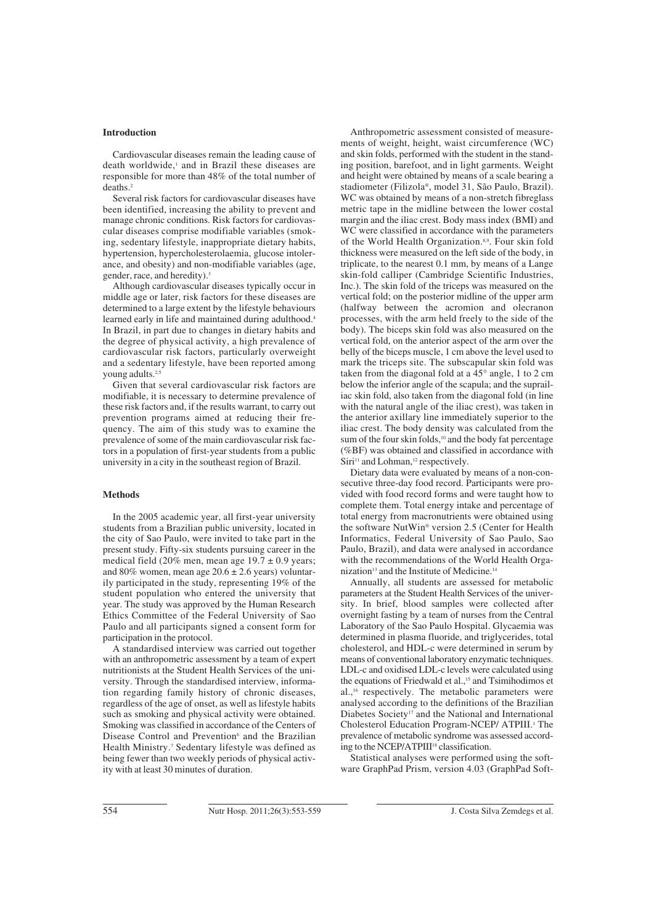### **Introduction**

Cardiovascular diseases remain the leading cause of death worldwide,<sup>1</sup> and in Brazil these diseases are responsible for more than 48% of the total number of deaths.2

Several risk factors for cardiovascular diseases have been identified, increasing the ability to prevent and manage chronic conditions. Risk factors for cardiovascular diseases comprise modifiable variables (smoking, sedentary lifestyle, inappropriate dietary habits, hypertension, hypercholesterolaemia, glucose intolerance, and obesity) and non-modifiable variables (age, gender, race, and heredity).<sup>3</sup>

Although cardiovascular diseases typically occur in middle age or later, risk factors for these diseases are determined to a large extent by the lifestyle behaviours learned early in life and maintained during adulthood.<sup>4</sup> In Brazil, in part due to changes in dietary habits and the degree of physical activity, a high prevalence of cardiovascular risk factors, particularly overweight and a sedentary lifestyle, have been reported among young adults.<sup>2,5</sup>

Given that several cardiovascular risk factors are modifiable, it is necessary to determine prevalence of these risk factors and, if the results warrant, to carry out prevention programs aimed at reducing their frequency. The aim of this study was to examine the prevalence of some of the main cardiovascular risk factors in a population of first-year students from a public university in a city in the southeast region of Brazil.

#### **Methods**

In the 2005 academic year, all first-year university students from a Brazilian public university, located in the city of Sao Paulo, were invited to take part in the present study. Fifty-six students pursuing career in the medical field (20% men, mean age  $19.7 \pm 0.9$  years; and 80% women, mean age  $20.6 \pm 2.6$  years) voluntarily participated in the study, representing 19% of the student population who entered the university that year. The study was approved by the Human Research Ethics Committee of the Federal University of Sao Paulo and all participants signed a consent form for participation in the protocol.

A standardised interview was carried out together with an anthropometric assessment by a team of expert nutritionists at the Student Health Services of the university. Through the standardised interview, information regarding family history of chronic diseases, regardless of the age of onset, as well as lifestyle habits such as smoking and physical activity were obtained. Smoking was classified in accordance of the Centers of Disease Control and Prevention<sup>6</sup> and the Brazilian Health Ministry.7 Sedentary lifestyle was defined as being fewer than two weekly periods of physical activity with at least 30 minutes of duration.

Anthropometric assessment consisted of measurements of weight, height, waist circumference (WC) and skin folds, performed with the student in the standing position, barefoot, and in light garments. Weight and height were obtained by means of a scale bearing a stadiometer (Filizola®, model 31, São Paulo, Brazil). WC was obtained by means of a non-stretch fibreglass metric tape in the midline between the lower costal margin and the iliac crest. Body mass index (BMI) and WC were classified in accordance with the parameters of the World Health Organization.<sup>8,9</sup>. Four skin fold thickness were measured on the left side of the body, in triplicate, to the nearest 0.1 mm, by means of a Lange skin-fold calliper (Cambridge Scientific Industries, Inc.). The skin fold of the triceps was measured on the vertical fold; on the posterior midline of the upper arm (halfway between the acromion and olecranon processes, with the arm held freely to the side of the body). The biceps skin fold was also measured on the vertical fold, on the anterior aspect of the arm over the belly of the biceps muscle, 1 cm above the level used to mark the triceps site. The subscapular skin fold was taken from the diagonal fold at a  $45^{\circ}$  angle, 1 to 2 cm below the inferior angle of the scapula; and the suprailiac skin fold, also taken from the diagonal fold (in line with the natural angle of the iliac crest), was taken in the anterior axillary line immediately superior to the iliac crest. The body density was calculated from the sum of the four skin folds,<sup>10</sup> and the body fat percentage (%BF) was obtained and classified in accordance with Siri<sup>11</sup> and Lohman,<sup>12</sup> respectively.

Dietary data were evaluated by means of a non-consecutive three-day food record. Participants were provided with food record forms and were taught how to complete them. Total energy intake and percentage of total energy from macronutrients were obtained using the software NutWin® version 2.5 (Center for Health Informatics, Federal University of Sao Paulo, Sao Paulo, Brazil), and data were analysed in accordance with the recommendations of the World Health Organization<sup>13</sup> and the Institute of Medicine.<sup>14</sup>

Annually, all students are assessed for metabolic parameters at the Student Health Services of the university. In brief, blood samples were collected after overnight fasting by a team of nurses from the Central Laboratory of the Sao Paulo Hospital. Glycaemia was determined in plasma fluoride, and triglycerides, total cholesterol, and HDL-c were determined in serum by means of conventional laboratory enzymatic techniques. LDL-c and oxidised LDL-c levels were calculated using the equations of Friedwald et al.,<sup>15</sup> and Tsimihodimos et al.,16 respectively. The metabolic parameters were analysed according to the definitions of the Brazilian Diabetes Society<sup>17</sup> and the National and International Cholesterol Education Program-NCEP/ ATPIII.<sup>1</sup> The prevalence of metabolic syndrome was assessed according to the NCEP/ATPIII<sup>18</sup> classification.

Statistical analyses were performed using the software GraphPad Prism, version 4.03 (GraphPad Soft-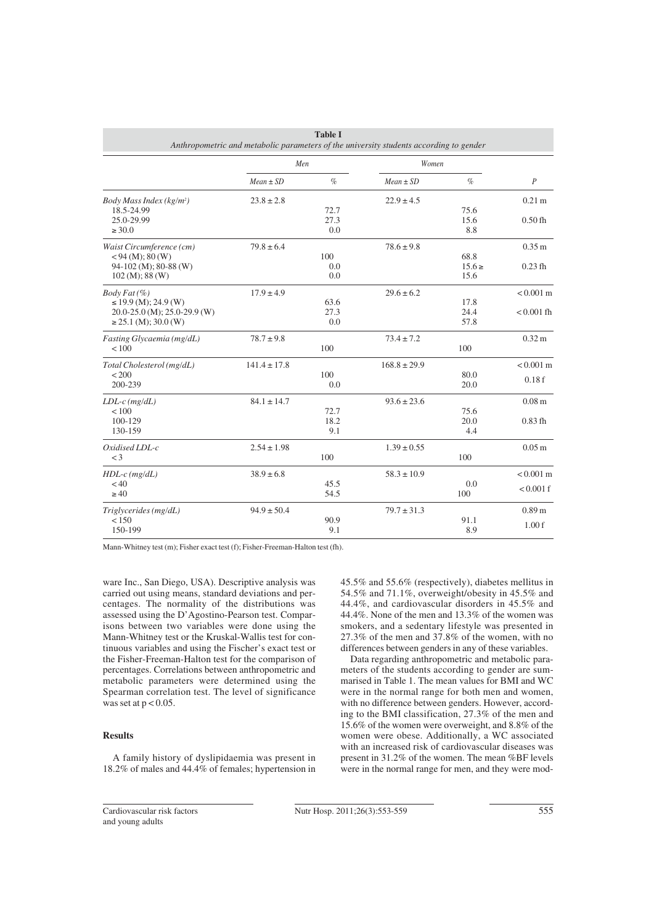| <b>Table I</b><br>Anthropometric and metabolic parameters of the university students according to gender |                  |      |                  |            |                     |  |  |  |  |
|----------------------------------------------------------------------------------------------------------|------------------|------|------------------|------------|---------------------|--|--|--|--|
|                                                                                                          | Men              |      | Women            |            |                     |  |  |  |  |
|                                                                                                          | $Mean \pm SD$    | $\%$ | $Mean \pm SD$    | $\%$       | $\overline{P}$      |  |  |  |  |
| Body Mass Index ( $kg/m2$ )                                                                              | $23.8 \pm 2.8$   |      | $22.9 \pm 4.5$   |            | $0.21 \text{ m}$    |  |  |  |  |
| 18.5-24.99                                                                                               |                  | 72.7 |                  | 75.6       |                     |  |  |  |  |
| 25.0-29.99                                                                                               |                  | 27.3 |                  | 15.6       | $0.50$ fh           |  |  |  |  |
| $\geq 30.0$                                                                                              |                  | 0.0  |                  | 8.8        |                     |  |  |  |  |
| Waist Circumference (cm)                                                                                 | $79.8 \pm 6.4$   |      | $78.6 \pm 9.8$   |            | 0.35 m              |  |  |  |  |
| $< 94 \,(M); 80 \,(W)$                                                                                   |                  | 100  |                  | 68.8       |                     |  |  |  |  |
| 94-102 (M); 80-88 (W)                                                                                    |                  | 0.0  |                  | $15.6 \ge$ | $0.23$ fh           |  |  |  |  |
| $102 \,(M); 88 \,(W)$                                                                                    |                  | 0.0  |                  | 15.6       |                     |  |  |  |  |
| $Body Fat (\%)$                                                                                          | $17.9 \pm 4.9$   |      | $29.6 \pm 6.2$   |            | $< 0.001 \text{ m}$ |  |  |  |  |
| $\leq$ 19.9 (M); 24.9 (W)                                                                                |                  | 63.6 |                  | 17.8       |                     |  |  |  |  |
| 20.0-25.0 (M); 25.0-29.9 (W)                                                                             |                  | 27.3 |                  | 24.4       | $< 0.001$ fh        |  |  |  |  |
| $\geq$ 25.1 (M); 30.0 (W)                                                                                |                  | 0.0  |                  | 57.8       |                     |  |  |  |  |
| Fasting Glycaemia (mg/dL)                                                                                | $78.7 \pm 9.8$   |      | $73.4 \pm 7.2$   |            | $0.32 \text{ m}$    |  |  |  |  |
| ${}_{< 100}$                                                                                             |                  | 100  |                  | 100        |                     |  |  |  |  |
| Total Cholesterol (mg/dL)                                                                                | $141.4 \pm 17.8$ |      | $168.8 \pm 29.9$ |            | $< 0.001 \text{ m}$ |  |  |  |  |
| < 200                                                                                                    |                  | 100  |                  | 80.0       | 0.18f               |  |  |  |  |
| 200-239                                                                                                  |                  | 0.0  |                  | 20.0       |                     |  |  |  |  |
| $LDL-c$ (mg/dL)                                                                                          | $84.1 \pm 14.7$  |      | $93.6 \pm 23.6$  |            | 0.08 <sub>m</sub>   |  |  |  |  |
| ${}_{< 100}$                                                                                             |                  | 72.7 |                  | 75.6       |                     |  |  |  |  |
| 100-129                                                                                                  |                  | 18.2 |                  | 20.0       | $0.83$ fh           |  |  |  |  |
| 130-159                                                                                                  |                  | 9.1  |                  | 4.4        |                     |  |  |  |  |
| Oxidised LDL-c                                                                                           | $2.54 \pm 1.98$  |      | $1.39 \pm 0.55$  |            | 0.05 <sub>m</sub>   |  |  |  |  |
| $<$ 3                                                                                                    |                  | 100  |                  | 100        |                     |  |  |  |  |
| $HDL-c$ (mg/dL)                                                                                          | $38.9 \pm 6.8$   |      | $58.3 \pm 10.9$  |            | $< 0.001$ m         |  |  |  |  |
| < 40                                                                                                     |                  | 45.5 |                  | 0.0        | $< 0.001$ f         |  |  |  |  |
| $\geq 40$                                                                                                |                  | 54.5 |                  | 100        |                     |  |  |  |  |
| Triglycerides (mg/dL)                                                                                    | $94.9 \pm 50.4$  |      | $79.7 \pm 31.3$  |            | 0.89 <sub>m</sub>   |  |  |  |  |
| < 150                                                                                                    |                  | 90.9 |                  | 91.1       | 1.00f               |  |  |  |  |
| 150-199                                                                                                  |                  | 9.1  |                  | 8.9        |                     |  |  |  |  |

Mann-Whitney test (m); Fisher exact test (f); Fisher-Freeman-Halton test (fh).

ware Inc., San Diego, USA). Descriptive analysis was carried out using means, standard deviations and percentages. The normality of the distributions was assessed using the D'Agostino-Pearson test. Comparisons between two variables were done using the Mann-Whitney test or the Kruskal-Wallis test for continuous variables and using the Fischer's exact test or the Fisher-Freeman-Halton test for the comparison of percentages. Correlations between anthropometric and metabolic parameters were determined using the Spearman correlation test. The level of significance was set at  $p < 0.05$ .

#### **Results**

A family history of dyslipidaemia was present in 18.2% of males and 44.4% of females; hypertension in 45.5% and 55.6% (respectively), diabetes mellitus in 54.5% and 71.1%, overweight/obesity in 45.5% and 44.4%, and cardiovascular disorders in 45.5% and 44.4%. None of the men and 13.3% of the women was smokers, and a sedentary lifestyle was presented in 27.3% of the men and 37.8% of the women, with no differences between genders in any of these variables.

Data regarding anthropometric and metabolic parameters of the students according to gender are summarised in Table 1. The mean values for BMI and WC were in the normal range for both men and women, with no difference between genders. However, according to the BMI classification, 27.3% of the men and 15.6% of the women were overweight, and 8.8% of the women were obese. Additionally, a WC associated with an increased risk of cardiovascular diseases was present in 31.2% of the women. The mean %BF levels were in the normal range for men, and they were mod-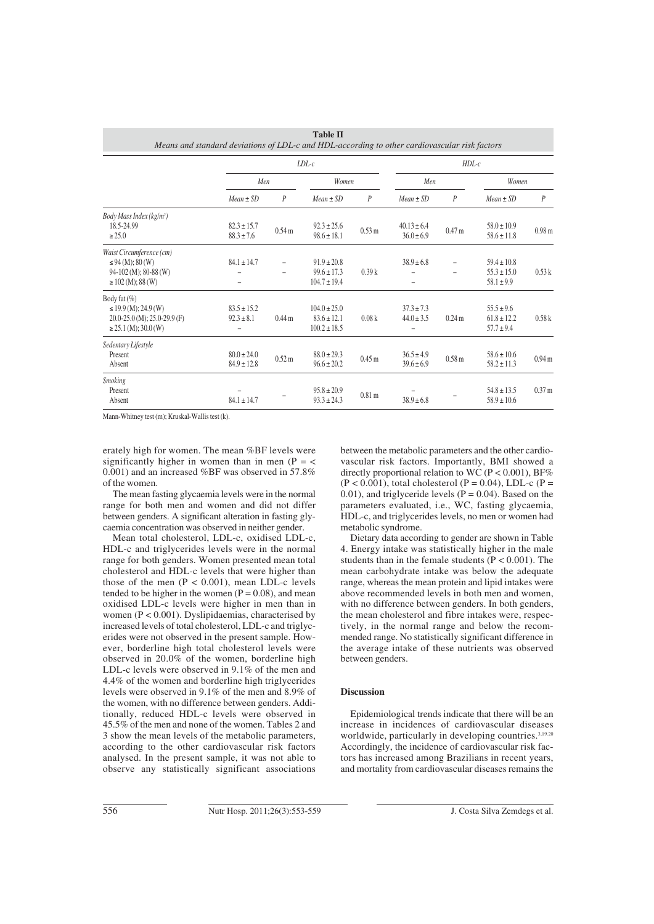|                                                                                                                |                                    | $LDL-c$                                    |                                                         |                   |                                   |                   | $HDL-c$                                              |                   |  |  |  |
|----------------------------------------------------------------------------------------------------------------|------------------------------------|--------------------------------------------|---------------------------------------------------------|-------------------|-----------------------------------|-------------------|------------------------------------------------------|-------------------|--|--|--|
|                                                                                                                | Men                                |                                            | Women                                                   |                   | Men                               |                   | Women                                                |                   |  |  |  |
|                                                                                                                | $Mean \pm SD$                      | $\boldsymbol{P}$                           | $Mean \pm SD$                                           | $\boldsymbol{P}$  | $Mean \pm SD$                     | $\overline{P}$    | $Mean \pm SD$                                        | P                 |  |  |  |
| Body Mass Index (kg/m <sup>2</sup> )<br>18.5-24.99<br>$\geq 25.0$                                              | $82.3 \pm 15.7$<br>$88.3 \pm 7.6$  | 0.54 <sub>m</sub>                          | $92.3 \pm 25.6$<br>$98.6 \pm 18.1$                      | $0.53 \text{ m}$  | $40.13 \pm 6.4$<br>$36.0 \pm 6.9$ | 0.47 <sub>m</sub> | $58.0 \pm 10.9$<br>$58.6 \pm 11.8$                   | 0.98 <sub>m</sub> |  |  |  |
| Waist Circumference (cm)<br>$\leq$ 94 (M); 80 (W)<br>$94-102$ (M); 80-88 (W)<br>$\geq$ 102 (M); 88 (W)         | $84.1 \pm 14.7$                    | $\overline{a}$<br>$\overline{\phantom{0}}$ | $91.9 \pm 20.8$<br>$99.6 \pm 17.3$<br>$104.7 \pm 19.4$  | 0.39k             | $38.9 \pm 6.8$                    | $\overline{a}$    | $59.4 \pm 10.8$<br>$55.3 \pm 15.0$<br>$58.1 \pm 9.9$ | 0.53k             |  |  |  |
| Body fat (%)<br>$\leq$ 19.9 (M); 24.9 (W)<br>$20.0 - 25.0$ (M); $25.0 - 29.9$ (F)<br>$\geq$ 25.1 (M); 30.0 (W) | $83.5 \pm 15.2$<br>$92.3 \pm 8.1$  | 0.44 <sub>m</sub>                          | $104.0 \pm 25.0$<br>$83.6 \pm 12.1$<br>$100.2 \pm 18.5$ | 0.08k             | $37.3 \pm 7.3$<br>$44.0 \pm 3.5$  | 0.24 <sub>m</sub> | $55.5 \pm 9.6$<br>$61.8 \pm 12.2$<br>$57.7 \pm 9.4$  | 0.58k             |  |  |  |
| Sedentary Lifestyle<br>Present<br>Absent                                                                       | $80.0 \pm 24.0$<br>$84.9 \pm 12.8$ | 0.52 <sub>m</sub>                          | $88.0 \pm 29.3$<br>$96.6 \pm 20.2$                      | 0.45 <sub>m</sub> | $36.5 \pm 4.9$<br>$39.6 \pm 6.9$  | 0.58 <sub>m</sub> | $58.6 \pm 10.6$<br>$58.2 \pm 11.3$                   | 0.94 <sub>m</sub> |  |  |  |
| <b>Smoking</b><br>Present<br>Absent                                                                            | $84.1 \pm 14.7$                    |                                            | $95.8 \pm 20.9$<br>$93.3 \pm 24.3$                      | 0.81 <sub>m</sub> | $38.9 \pm 6.8$                    |                   | $54.8 \pm 13.5$<br>$58.9 \pm 10.6$                   | 0.37 m            |  |  |  |

**Table II**

Mann-Whitney test (m); Kruskal-Wallis test (k).

erately high for women. The mean %BF levels were significantly higher in women than in men  $(P = \langle$ 0.001) and an increased %BF was observed in 57.8% of the women.

The mean fasting glycaemia levels were in the normal range for both men and women and did not differ between genders. A significant alteration in fasting glycaemia concentration was observed in neither gender.

Mean total cholesterol, LDL-c, oxidised LDL-c, HDL-c and triglycerides levels were in the normal range for both genders. Women presented mean total cholesterol and HDL-c levels that were higher than those of the men  $(P < 0.001)$ , mean LDL-c levels tended to be higher in the women  $(P = 0.08)$ , and mean oxidised LDL-c levels were higher in men than in women  $(P < 0.001)$ . Dyslipidaemias, characterised by increased levels of total cholesterol, LDL-c and triglycerides were not observed in the present sample. However, borderline high total cholesterol levels were observed in 20.0% of the women, borderline high LDL-c levels were observed in 9.1% of the men and 4.4% of the women and borderline high triglycerides levels were observed in 9.1% of the men and 8.9% of the women, with no difference between genders. Additionally, reduced HDL-c levels were observed in 45.5% of the men and none of the women. Tables 2 and 3 show the mean levels of the metabolic parameters, according to the other cardiovascular risk factors analysed. In the present sample, it was not able to observe any statistically significant associations between the metabolic parameters and the other cardiovascular risk factors. Importantly, BMI showed a directly proportional relation to WC (P < 0.001), BF%  $(P < 0.001)$ , total cholesterol  $(P = 0.04)$ , LDL-c  $(P = 0.001)$ 0.01), and triglyceride levels ( $P = 0.04$ ). Based on the parameters evaluated, i.e., WC, fasting glycaemia, HDL-c, and triglycerides levels, no men or women had metabolic syndrome.

Dietary data according to gender are shown in Table 4. Energy intake was statistically higher in the male students than in the female students  $(P < 0.001)$ . The mean carbohydrate intake was below the adequate range, whereas the mean protein and lipid intakes were above recommended levels in both men and women, with no difference between genders. In both genders, the mean cholesterol and fibre intakes were, respectively, in the normal range and below the recommended range. No statistically significant difference in the average intake of these nutrients was observed between genders.

#### **Discussion**

Epidemiological trends indicate that there will be an increase in incidences of cardiovascular diseases worldwide, particularly in developing countries.<sup>3,19.20</sup> Accordingly, the incidence of cardiovascular risk factors has increased among Brazilians in recent years, and mortality from cardiovascular diseases remains the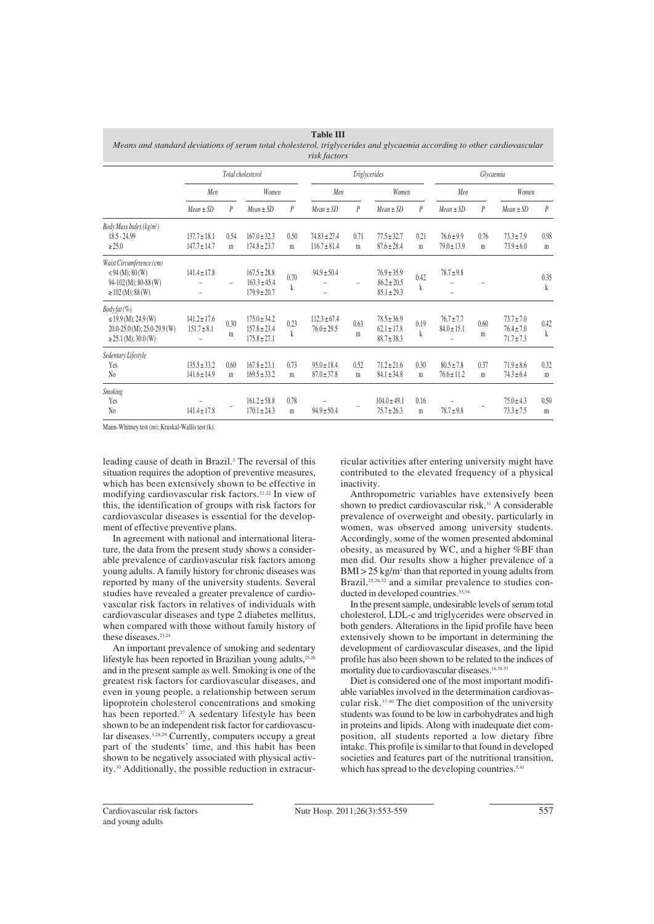| Means and standard deviations of serum total cholesterol, triglycerides and glycaemia according to other cardiovascular |                                      |                          |                                                          |                      | risk factors                         |                          |                                                       |                     |                                   |           |                                                    |                     |
|-------------------------------------------------------------------------------------------------------------------------|--------------------------------------|--------------------------|----------------------------------------------------------|----------------------|--------------------------------------|--------------------------|-------------------------------------------------------|---------------------|-----------------------------------|-----------|----------------------------------------------------|---------------------|
|                                                                                                                         | Total cholesterol                    |                          |                                                          | <b>Triglycerides</b> |                                      |                          | Glycaemia                                             |                     |                                   |           |                                                    |                     |
|                                                                                                                         | Men                                  |                          | Women                                                    |                      | Men                                  |                          | Women                                                 |                     | Men                               |           | Women                                              |                     |
|                                                                                                                         | $Mean \pm SD$                        | $\overline{P}$           | $Mean \pm SD$                                            | $\overline{P}$       | $Mean \pm SD$                        | $\overline{P}$           | $Mean \pm SD$                                         | $\overline{P}$      | $Mean \pm SD$                     | P         | $Mean \pm SD$                                      | $\overline{P}$      |
| Body Mass Index (kg/m <sup>2</sup> )<br>$18.5 - 24.99$<br>$\geq 25.0$                                                   | $137.7 \pm 18.1$<br>$147.7 \pm 14.7$ | 0.54<br>m                | $167.0 \pm 32.3$<br>$174.8 \pm 23.7$                     | 0.50<br>$\mathbf m$  | $74.83 \pm 27.4$<br>$116.7 \pm 81.4$ | 0.71<br>m                | $77.5 \pm 32.7$<br>$87.6 \pm 28.4$                    | 0.21<br>$\mathbf m$ | $76.6 \pm 9.9$<br>$79.0 \pm 13.9$ | 0.76<br>m | $73.3 \pm 7.9$<br>$73.9 \pm 6.0$                   | 0.98<br>m           |
| Waist Circumference (cm)<br>$<$ 94 (M); 80 (W)<br>$94-102$ (M); 80-88 (W)<br>$\geq$ 102 (M); 88 (W)                     | $141.4 \pm 17.8$                     | $\overline{\phantom{0}}$ | $167.5 \pm 28.8$<br>$163.3 \pm 45.4$<br>$179.9 \pm 20.7$ | 0.70<br>k            | $94.9 \pm 50.4$                      | $\overline{\phantom{0}}$ | $76.9 \pm 35.9$<br>$86.2 \pm 20.5$<br>$85.1 \pm 29.3$ | 0.42<br>k           | $78.7 \pm 9.8$                    |           |                                                    | 0.35<br>k           |
| Body fat (%)<br>$\leq$ 19.9 (M); 24.9 (W)<br>$20.0 - 25.0$ (M); $25.0 - 29.9$ (W)<br>$\geq$ 25.1 (M); 30.0 (W)          | $141.2 \pm 17.6$<br>$151.7 \pm 8.1$  | 0.30<br>m                | $175.0 \pm 34.2$<br>$157.8 \pm 23.4$<br>$175.8 \pm 27.1$ | 0.23<br>$\mathbf{k}$ | $112.3 \pm 67.4$<br>$76.0 \pm 29.5$  | 0.63<br>m                | $78.5 \pm 36.9$<br>$62.1 \pm 17.8$<br>$88.7 \pm 38.3$ | 0.19<br>$\mathbf k$ | $76.7 \pm 7.7$<br>$84.0 \pm 15.1$ | 0.60<br>m | $73.7 \pm 7.0$<br>$76.4 \pm 7.0$<br>$71.7 \pm 7.3$ | 0.42<br>$\mathbf k$ |
| Sedentary Lifestyle<br>Yes<br>$\mathrm{N}_0$                                                                            | $135.5 \pm 33.2$<br>$141.6 \pm 14.9$ | 0.60<br>m                | $167.8 \pm 23.1$<br>$169.5 \pm 33.2$                     | 0.73<br>m            | $95.0 \pm 18.4$<br>$87.0 \pm 37.8$   | 0.52<br>m                | $71.2 \pm 21.6$<br>$84.1 \pm 34.8$                    | 0.30<br>m           | $80.5 \pm 7.8$<br>$76.6 \pm 11.2$ | 0.37<br>m | $71.9 \pm 8.6$<br>$74.3 \pm 6.4$                   | 0.32<br>m           |
| Smoking<br>Yes<br>$\rm No$                                                                                              | $141.4 \pm 17.8$                     |                          | $161.2 \pm 58.8$<br>$170.1 \pm 24.3$                     | 0.78<br>m            | $94.9 \pm 50.4$                      | $\overline{a}$           | $104.0 \pm 49.1$<br>$75.7 \pm 26.3$                   | 0.16<br>m           | $78.7 \pm 9.8$                    |           | $75.0 \pm 4.3$<br>$73.3 \pm 7.5$                   | 0.50<br>m           |

**Table III**

Mann-Whitney test (m); Kruskal-Wallis test (k).

leading cause of death in Brazil.2 The reversal of this situation requires the adoption of preventive measures, which has been extensively shown to be effective in modifying cardiovascular risk factors.21.22 In view of this, the identification of groups with risk factors for cardiovascular diseases is essential for the development of effective preventive plans.

In agreement with national and international literature, the data from the present study shows a considerable prevalence of cardiovascular risk factors among young adults. A family history for chronic diseases was reported by many of the university students. Several studies have revealed a greater prevalence of cardiovascular risk factors in relatives of individuals with cardiovascular diseases and type 2 diabetes mellitus, when compared with those without family history of these diseases.<sup>23,24</sup>

An important prevalence of smoking and sedentary lifestyle has been reported in Brazilian young adults, $25$ and in the present sample as well. Smoking is one of the greatest risk factors for cardiovascular diseases, and even in young people, a relationship between serum lipoprotein cholesterol concentrations and smoking has been reported.<sup>27</sup> A sedentary lifestyle has been shown to be an independent risk factor for cardiovascular diseases.3,28,29 Currently, computers occupy a great part of the students' time, and this habit has been shown to be negatively associated with physical activity.30 Additionally, the possible reduction in extracurricular activities after entering university might have contributed to the elevated frequency of a physical inactivity.

Anthropometric variables have extensively been shown to predict cardiovascular risk.<sup>31</sup> A considerable prevalence of overweight and obesity, particularly in women, was observed among university students. Accordingly, some of the women presented abdominal obesity, as measured by WC, and a higher %BF than men did. Our results show a higher prevalence of a  $BMI > 25$  kg/m<sup>2</sup> than that reported in young adults from Brazil,<sup>25,26,32</sup> and a similar prevalence to studies conducted in developed countries.<sup>33,34</sup>

In the present sample, undesirable levels of serum total cholesterol, LDL-c and triglycerides were observed in both genders. Alterations in the lipid profile have been extensively shown to be important in determining the development of cardiovascular diseases, and the lipid profile has also been shown to be related to the indices of mortality due to cardiovascular diseases.18,35-37

Diet is considered one of the most important modifiable variables involved in the determination cardiovascular risk.37-40 The diet composition of the university students was found to be low in carbohydrates and high in proteins and lipids. Along with inadequate diet composition, all students reported a low dietary fibre intake. This profile is similar to that found in developed societies and features part of the nutritional transition, which has spread to the developing countries.<sup>5,41</sup>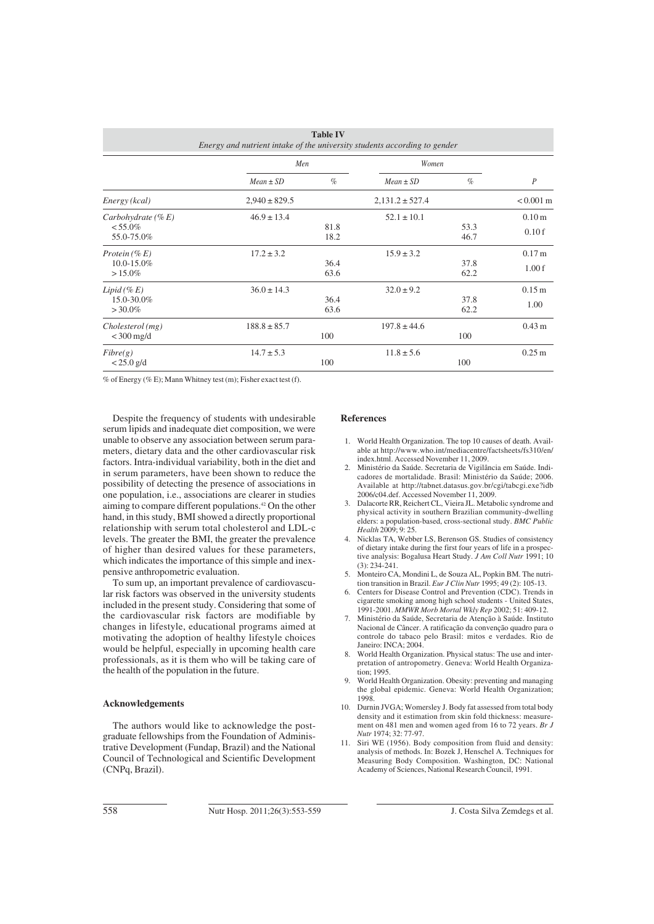| <b>Table IV</b><br>Energy and nutrient intake of the university students according to gender |                   |              |                     |              |                            |  |  |  |  |
|----------------------------------------------------------------------------------------------|-------------------|--------------|---------------------|--------------|----------------------------|--|--|--|--|
|                                                                                              | Men               |              | Women               |              |                            |  |  |  |  |
|                                                                                              | $Mean \pm SD$     | $\%$         | $Mean \pm SD$       | $\%$         | $\boldsymbol{P}$           |  |  |  |  |
| Energy (kcal)                                                                                | $2,940 \pm 829.5$ |              | $2,131.2 \pm 527.4$ |              | $< 0.001 \text{ m}$        |  |  |  |  |
| Carbohydrate $(\% E)$<br>$< 55.0\%$<br>55.0-75.0%                                            | $46.9 \pm 13.4$   | 81.8<br>18.2 | $52.1 \pm 10.1$     | 53.3<br>46.7 | 0.10 <sub>m</sub><br>0.10f |  |  |  |  |
| Protein $(\% E)$<br>$10.0 - 15.0\%$<br>$>15.0\%$                                             | $17.2 \pm 3.2$    | 36.4<br>63.6 | $15.9 \pm 3.2$      | 37.8<br>62.2 | 0.17 m<br>1.00f            |  |  |  |  |
| Lipid $(\% E)$<br>15.0-30.0%<br>$>30.0\%$                                                    | $36.0 \pm 14.3$   | 36.4<br>63.6 | $32.0 \pm 9.2$      | 37.8<br>62.2 | 0.15 m<br>1.00             |  |  |  |  |
| Cholesterol(mg)<br>$<$ 300 mg/d                                                              | $188.8 \pm 85.7$  | 100          | $197.8 \pm 44.6$    | 100          | $0.43 \text{ m}$           |  |  |  |  |
| Fibre(g)<br>$< 25.0$ g/d                                                                     | $14.7 \pm 5.3$    | 100          | $11.8 \pm 5.6$      | 100          | $0.25 \,\mathrm{m}$        |  |  |  |  |

% of Energy (% E); Mann Whitney test (m); Fisher exact test (f).

Despite the frequency of students with undesirable serum lipids and inadequate diet composition, we were unable to observe any association between serum parameters, dietary data and the other cardiovascular risk factors. Intra-individual variability, both in the diet and in serum parameters, have been shown to reduce the possibility of detecting the presence of associations in one population, i.e., associations are clearer in studies aiming to compare different populations.42 On the other hand, in this study, BMI showed a directly proportional relationship with serum total cholesterol and LDL-c levels. The greater the BMI, the greater the prevalence of higher than desired values for these parameters, which indicates the importance of this simple and inexpensive anthropometric evaluation.

To sum up, an important prevalence of cardiovascular risk factors was observed in the university students included in the present study. Considering that some of the cardiovascular risk factors are modifiable by changes in lifestyle, educational programs aimed at motivating the adoption of healthy lifestyle choices would be helpful, especially in upcoming health care professionals, as it is them who will be taking care of the health of the population in the future.

#### **Acknowledgements**

The authors would like to acknowledge the postgraduate fellowships from the Foundation of Administrative Development (Fundap, Brazil) and the National Council of Technological and Scientific Development (CNPq, Brazil).

#### **References**

- 1. World Health Organization. The top 10 causes of death. Available at http://www.who.int/mediacentre/factsheets/fs310/en/ index.html. Accessed November 11, 2009.
- 2. Ministério da Saúde. Secretaria de Vigilância em Saúde. Indicadores de mortalidade. Brasil: Ministério da Saúde; 2006. Available at http://tabnet.datasus.gov.br/cgi/tabcgi.exe?idb 2006/c04.def. Accessed November 11, 2009.
- 3. Dalacorte RR, Reichert CL, Vieira JL. Metabolic syndrome and physical activity in southern Brazilian community-dwelling elders: a population-based, cross-sectional study. *BMC Public Health* 2009; 9: 25.
- 4. Nicklas TA, Webber LS, Berenson GS. Studies of consistency of dietary intake during the first four years of life in a prospective analysis: Bogalusa Heart Study. *J Am Coll Nutr* 1991; 10 (3): 234-241.
- 5. Monteiro CA, Mondini L, de Souza AL, Popkin BM. The nutrition transition in Brazil. *Eur J Clin Nutr* 1995; 49 (2): 105-13.
- 6. Centers for Disease Control and Prevention (CDC). Trends in cigarette smoking among high school students - United States, 1991-2001. *MMWR Morb Mortal Wkly Rep* 2002; 51: 409-12.
- 7. Ministério da Saúde, Secretaria de Atenção à Saúde. Instituto Nacional de Câncer. A ratificação da convenção quadro para o controle do tabaco pelo Brasil: mitos e verdades. Rio de Janeiro: INCA; 2004.
- 8. World Health Organization. Physical status: The use and interpretation of antropometry. Geneva: World Health Organization; 1995.
- 9. World Health Organization. Obesity: preventing and managing the global epidemic. Geneva: World Health Organization; 1998.
- 10. Durnin JVGA; Womersley J. Body fat assessed from total body density and it estimation from skin fold thickness: measurement on 481 men and women aged from 16 to 72 years. *Br J Nutr* 1974; 32: 77-97.
- 11. Siri WE (1956). Body composition from fluid and density: analysis of methods. In: Bozek J, Henschel A. Techniques for Measuring Body Composition. Washington, DC: National Academy of Sciences, National Research Council, 1991.